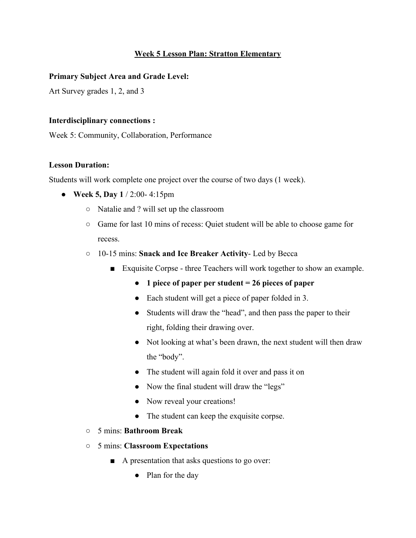# **Week 5 Lesson Plan: Stratton Elementary**

## **Primary Subject Area and Grade Level:**

Art Survey grades 1, 2, and 3

#### **Interdisciplinary connections :**

Week 5: Community, Collaboration, Performance

## **Lesson Duration:**

Students will work complete one project over the course of two days (1 week).

- **Week 5, Day 1** / 2:00- 4:15pm
	- Natalie and ? will set up the classroom
	- Game for last 10 mins of recess: Quiet student will be able to choose game for recess.
	- 10-15 mins: **Snack and Ice Breaker Activity** Led by Becca
		- Exquisite Corpse three Teachers will work together to show an example.
			- **● 1 piece of paper per student = 26 pieces of paper**
			- Each student will get a piece of paper folded in 3.
			- Students will draw the "head", and then pass the paper to their right, folding their drawing over.
			- Not looking at what's been drawn, the next student will then draw the "body".
			- The student will again fold it over and pass it on
			- Now the final student will draw the "legs"
			- Now reveal your creations!
			- The student can keep the exquisite corpse.
	- 5 mins: **Bathroom Break**
	- 5 mins: **Classroom Expectations**
		- A presentation that asks questions to go over:
			- Plan for the day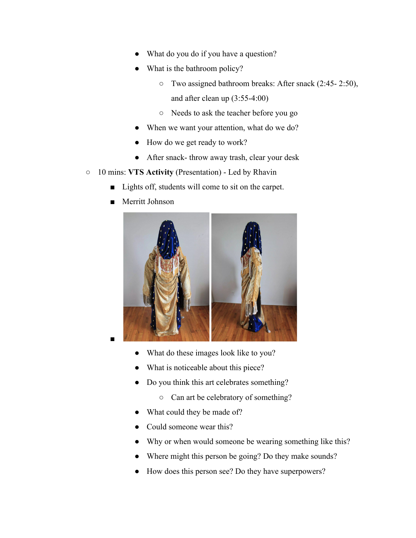- What do you do if you have a question?
- What is the bathroom policy?
	- Two assigned bathroom breaks: After snack (2:45- 2:50), and after clean up (3:55-4:00)
	- Needs to ask the teacher before you go
- When we want your attention, what do we do?
- How do we get ready to work?
- After snack- throw away trash, clear your desk
- 10 mins: **VTS Activity** (Presentation) Led by Rhavin
	- Lights off, students will come to sit on the carpet.
	- Merritt Johnson



- What do these images look like to you?
- What is noticeable about this piece?
- Do you think this art celebrates something?
	- Can art be celebratory of something?
- What could they be made of?
- Could someone wear this?
- Why or when would someone be wearing something like this?
- Where might this person be going? Do they make sounds?
- How does this person see? Do they have superpowers?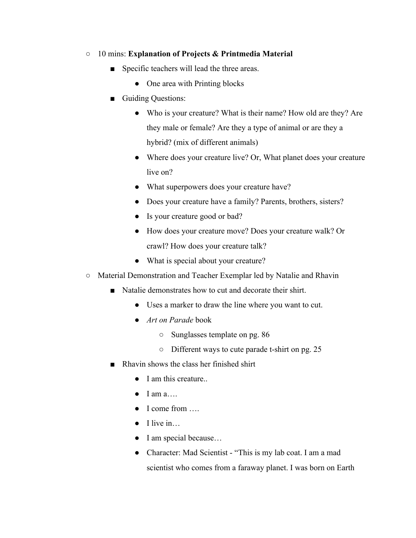- 10 mins: **Explanation of Projects & Printmedia Material**
	- Specific teachers will lead the three areas.
		- One area with Printing blocks
	- Guiding Questions:
		- Who is your creature? What is their name? How old are they? Are they male or female? Are they a type of animal or are they a hybrid? (mix of different animals)
		- Where does your creature live? Or, What planet does your creature live on?
		- What superpowers does your creature have?
		- Does your creature have a family? Parents, brothers, sisters?
		- Is your creature good or bad?
		- How does your creature move? Does your creature walk? Or crawl? How does your creature talk?
		- What is special about your creature?
- Material Demonstration and Teacher Exemplar led by Natalie and Rhavin
	- Natalie demonstrates how to cut and decorate their shirt.
		- Uses a marker to draw the line where you want to cut.
		- *Art on Parade* book
			- Sunglasses template on pg. 86
			- Different ways to cute parade t-shirt on pg. 25
	- Rhavin shows the class her finished shirt
		- I am this creature.
		- $\bullet$  I am a...
		- I come from
		- $\bullet$  I live in...
		- I am special because...
		- Character: Mad Scientist "This is my lab coat. I am a mad scientist who comes from a faraway planet. I was born on Earth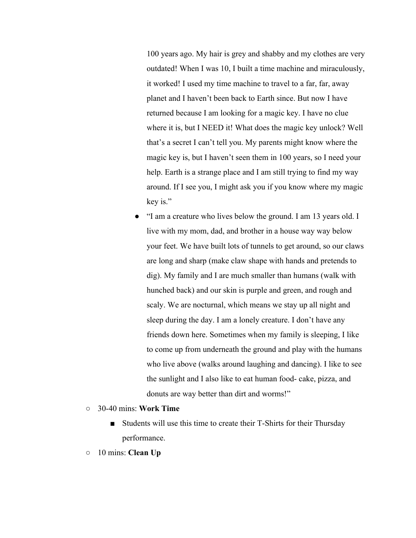100 years ago. My hair is grey and shabby and my clothes are very outdated! When I was 10, I built a time machine and miraculously, it worked! I used my time machine to travel to a far, far, away planet and I haven't been back to Earth since. But now I have returned because I am looking for a magic key. I have no clue where it is, but I NEED it! What does the magic key unlock? Well that's a secret I can't tell you. My parents might know where the magic key is, but I haven't seen them in 100 years, so I need your help. Earth is a strange place and I am still trying to find my way around. If I see you, I might ask you if you know where my magic key is."

- "I am a creature who lives below the ground. I am 13 years old. I live with my mom, dad, and brother in a house way way below your feet. We have built lots of tunnels to get around, so our claws are long and sharp (make claw shape with hands and pretends to dig). My family and I are much smaller than humans (walk with hunched back) and our skin is purple and green, and rough and scaly. We are nocturnal, which means we stay up all night and sleep during the day. I am a lonely creature. I don't have any friends down here. Sometimes when my family is sleeping, I like to come up from underneath the ground and play with the humans who live above (walks around laughing and dancing). I like to see the sunlight and I also like to eat human food- cake, pizza, and donuts are way better than dirt and worms!"
- 30-40 mins: **Work Time**
	- Students will use this time to create their T-Shirts for their Thursday performance.
- 10 mins: **Clean Up**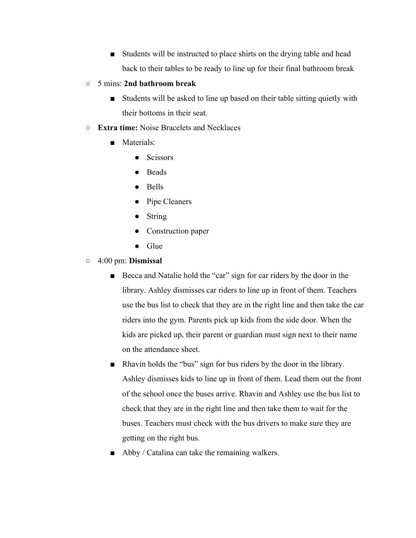- Students will be instructed to place shirts on the drying table and head back to their tables to be ready to line up for their final bathroom break
- 5 mins: **2nd bathroom break**
	- Students will be asked to line up based on their table sitting quietly with their bottoms in their seat.
- **Extra time:** Noise Bracelets and Necklaces
	- Materials:
		- Scissors
		- Beads
		- Bells
		- Pipe Cleaners
		- String
		- Construction paper
		- Glue
- 4:00 pm: **Dismissal**
	- Becca and Natalie hold the "car" sign for car riders by the door in the library. Ashley dismisses car riders to line up in front of them. Teachers use the bus list to check that they are in the right line and then take the car riders into the gym. Parents pick up kids from the side door. When the kids are picked up, their parent or guardian must sign next to their name on the attendance sheet.
	- Rhavin holds the "bus" sign for bus riders by the door in the library. Ashley dismisses kids to line up in front of them. Lead them out the front of the school once the buses arrive. Rhavin and Ashley use the bus list to check that they are in the right line and then take them to wait for the buses. Teachers must check with the bus drivers to make sure they are getting on the right bus.
	- Abby / Catalina can take the remaining walkers.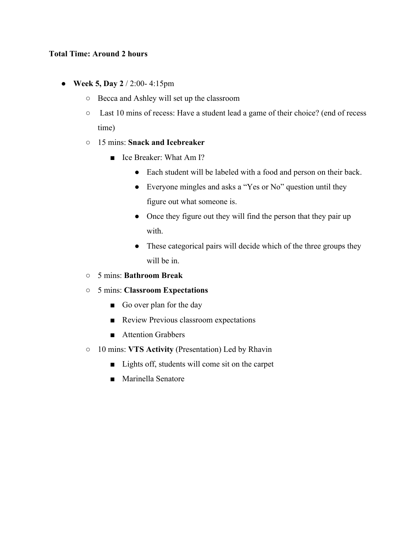## **Total Time: Around 2 hours**

- **Week 5, Day 2** / 2:00- 4:15pm
	- Becca and Ashley will set up the classroom
	- Last 10 mins of recess: Have a student lead a game of their choice? (end of recess time)
	- 15 mins: **Snack and Icebreaker**
		- Ice Breaker: What Am I?
			- Each student will be labeled with a food and person on their back.
			- Everyone mingles and asks a "Yes or No" question until they figure out what someone is.
			- Once they figure out they will find the person that they pair up with.
			- These categorical pairs will decide which of the three groups they will be in.
	- 5 mins: **Bathroom Break**
	- 5 mins: **Classroom Expectations**
		- Go over plan for the day
		- Review Previous classroom expectations
		- Attention Grabbers
	- 10 mins: **VTS Activity** (Presentation) Led by Rhavin
		- Lights off, students will come sit on the carpet
		- Marinella Senatore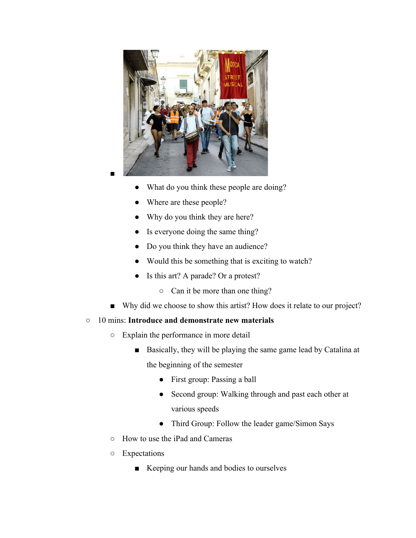

- What do you think these people are doing?
- Where are these people?
- Why do you think they are here?
- Is everyone doing the same thing?
- Do you think they have an audience?
- Would this be something that is exciting to watch?
- Is this art? A parade? Or a protest?
	- Can it be more than one thing?
- Why did we choose to show this artist? How does it relate to our project?
- 10 mins: **Introduce and demonstrate new materials**
	- Explain the performance in more detail
		- Basically, they will be playing the same game lead by Catalina at the beginning of the semester
			- First group: Passing a ball
			- Second group: Walking through and past each other at various speeds
			- Third Group: Follow the leader game/Simon Says
	- How to use the iPad and Cameras
	- Expectations
		- Keeping our hands and bodies to ourselves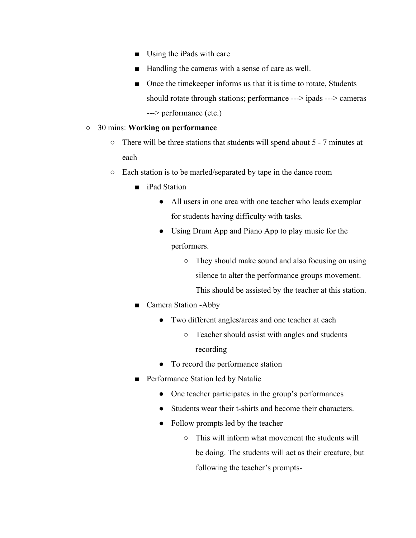- Using the iPads with care
- Handling the cameras with a sense of care as well.
- Once the time keeper informs us that it is time to rotate, Students should rotate through stations; performance ---> ipads ---> cameras ---> performance (etc.)

## ○ 30 mins: **Working on performance**

- There will be three stations that students will spend about 5 7 minutes at each
- Each station is to be marled/separated by tape in the dance room
	- iPad Station
		- All users in one area with one teacher who leads exemplar for students having difficulty with tasks.
		- Using Drum App and Piano App to play music for the performers.
			- They should make sound and also focusing on using silence to alter the performance groups movement. This should be assisted by the teacher at this station.
	- Camera Station -Abby
		- Two different angles/areas and one teacher at each
			- Teacher should assist with angles and students recording
		- To record the performance station
	- Performance Station led by Natalie
		- One teacher participates in the group's performances
		- Students wear their t-shirts and become their characters.
		- Follow prompts led by the teacher
			- This will inform what movement the students will be doing. The students will act as their creature, but following the teacher's prompts-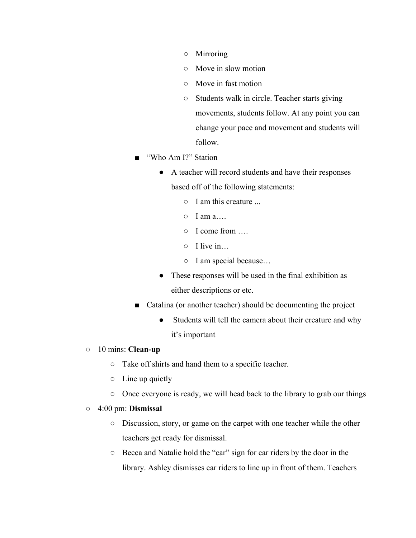- Mirroring
- Move in slow motion
- Move in fast motion
- Students walk in circle. Teacher starts giving movements, students follow. At any point you can change your pace and movement and students will follow.
- "Who Am I?" Station
	- A teacher will record students and have their responses based off of the following statements:
		- I am this creature ...
		- $\circ$  I am a...
		- I come from ….
		- $\circ$  I live in
		- I am special because…
	- These responses will be used in the final exhibition as either descriptions or etc.
- Catalina (or another teacher) should be documenting the project
	- Students will tell the camera about their creature and why it's important
- 10 mins: **Clean-up**
	- Take off shirts and hand them to a specific teacher.
	- $\circ$  Line up quietly
	- Once everyone is ready, we will head back to the library to grab our things
- 4:00 pm: **Dismissal**
	- Discussion, story, or game on the carpet with one teacher while the other teachers get ready for dismissal.
	- Becca and Natalie hold the "car" sign for car riders by the door in the library. Ashley dismisses car riders to line up in front of them. Teachers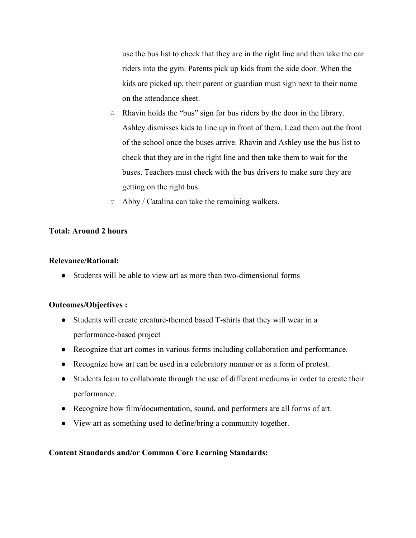use the bus list to check that they are in the right line and then take the car riders into the gym. Parents pick up kids from the side door. When the kids are picked up, their parent or guardian must sign next to their name on the attendance sheet.

- Rhavin holds the "bus" sign for bus riders by the door in the library. Ashley dismisses kids to line up in front of them. Lead them out the front of the school once the buses arrive. Rhavin and Ashley use the bus list to check that they are in the right line and then take them to wait for the buses. Teachers must check with the bus drivers to make sure they are getting on the right bus.
- Abby / Catalina can take the remaining walkers.

## **Total: Around 2 hours**

#### **Relevance/Rational:**

● Students will be able to view art as more than two-dimensional forms

## **Outcomes/Objectives :**

- Students will create creature-themed based T-shirts that they will wear in a performance-based project
- Recognize that art comes in various forms including collaboration and performance.
- Recognize how art can be used in a celebratory manner or as a form of protest.
- Students learn to collaborate through the use of different mediums in order to create their performance.
- Recognize how film/documentation, sound, and performers are all forms of art.
- View art as something used to define/bring a community together.

## **Content Standards and/or Common Core Learning Standards:**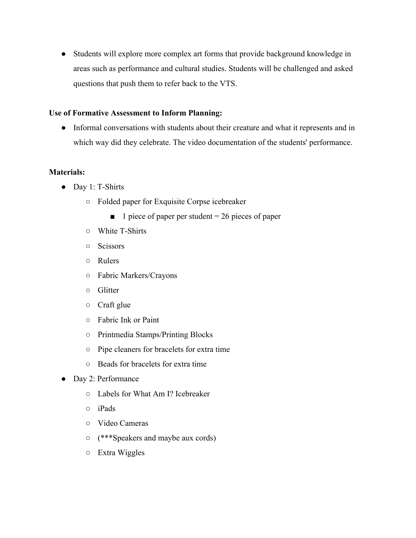● Students will explore more complex art forms that provide background knowledge in areas such as performance and cultural studies. Students will be challenged and asked questions that push them to refer back to the VTS.

## **Use of Formative Assessment to Inform Planning:**

● Informal conversations with students about their creature and what it represents and in which way did they celebrate. The video documentation of the students' performance.

## **Materials:**

- Day 1: T-Shirts
	- Folded paper for Exquisite Corpse icebreaker
		- $\blacksquare$  1 piece of paper per student = 26 pieces of paper
	- White T-Shirts
	- Scissors
	- Rulers
	- Fabric Markers/Crayons
	- Glitter
	- Craft glue
	- Fabric Ink or Paint
	- Printmedia Stamps/Printing Blocks
	- Pipe cleaners for bracelets for extra time
	- Beads for bracelets for extra time
- Day 2: Performance
	- Labels for What Am I? Icebreaker
	- iPads
	- Video Cameras
	- (\*\*\*Speakers and maybe aux cords)
	- Extra Wiggles